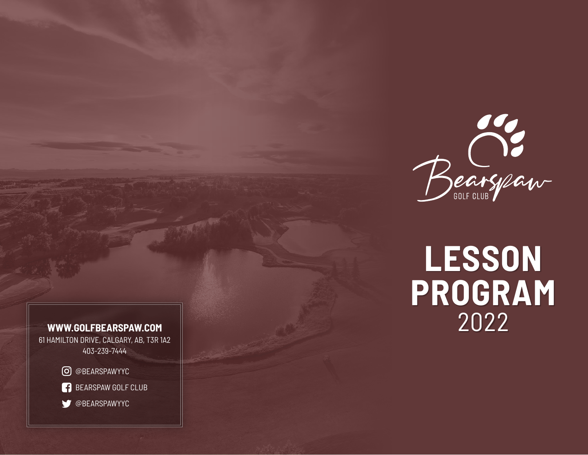

# **LESSON PROGRAM WWW.GOLFBEARSPAW.COM** 2022

61 HAMILTON DRIVE, CALGARY, AB, T3R 1A2 403-239-7444

@BEARSPAWYYC

**BEARSPAW GOLF CLUB** 

OBEARSPAWYYC